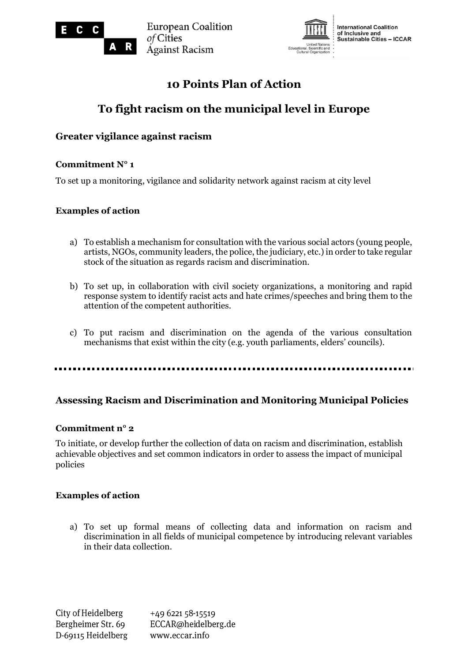

**European Coalition** of Cities **Against Racism** 



**International Coalition** of Inclusive and<br>Sustainable Cities – ICCAR

# **10 Points Plan of Action**

# **To fight racism on the municipal level in Europe**

## **Greater vigilance against racism**

R

## **Commitment N° 1**

To set up a monitoring, vigilance and solidarity network against racism at city level

## **Examples of action**

- a) To establish a mechanism for consultation with the various social actors (young people, artists, NGOs, community leaders, the police, the judiciary, etc.) in order to take regular stock of the situation as regards racism and discrimination.
- b) To set up, in collaboration with civil society organizations, a monitoring and rapid response system to identify racist acts and hate crimes/speeches and bring them to the attention of the competent authorities.
- c) To put racism and discrimination on the agenda of the various consultation mechanisms that exist within the city (e.g. youth parliaments, elders' councils).

## **Assessing Racism and Discrimination and Monitoring Municipal Policies**

## **Commitment n° 2**

To initiate, or develop further the collection of data on racism and discrimination, establish achievable objectives and set common indicators in order to assess the impact of municipal policies

## **Examples of action**

a) To set up formal means of collecting data and information on racism and discrimination in all fields of municipal competence by introducing relevant variables in their data collection.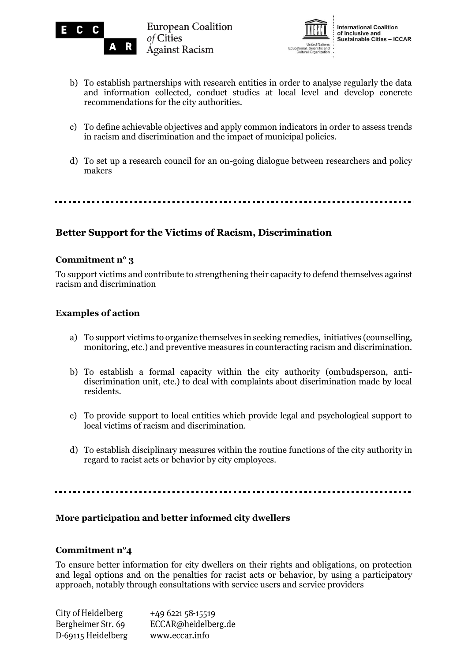



- b) To establish partnerships with research entities in order to analyse regularly the data and information collected, conduct studies at local level and develop concrete recommendations for the city authorities.
- c) To define achievable objectives and apply common indicators in order to assess trends in racism and discrimination and the impact of municipal policies.
- d) To set up a research council for an on-going dialogue between researchers and policy makers

## **Better Support for the Victims of Racism, Discrimination**

## **Commitment n° 3**

To support victims and contribute to strengthening their capacity to defend themselves against racism and discrimination

## **Examples of action**

- a) To support victims to organize themselves in seeking remedies, initiatives (counselling, monitoring, etc.) and preventive measures in counteracting racism and discrimination.
- b) To establish a formal capacity within the city authority (ombudsperson, antidiscrimination unit, etc.) to deal with complaints about discrimination made by local residents.
- c) To provide support to local entities which provide legal and psychological support to local victims of racism and discrimination.
- d) To establish disciplinary measures within the routine functions of the city authority in regard to racist acts or behavior by city employees.

## **More participation and better informed city dwellers**

## **Commitment n°4**

To ensure better information for city dwellers on their rights and obligations, on protection and legal options and on the penalties for racist acts or behavior, by using a participatory approach, notably through consultations with service users and service providers

| City of Heidelberg | +49 6221 58-15519   |
|--------------------|---------------------|
| Bergheimer Str. 69 | ECCAR@heidelberg.de |
| D-69115 Heidelberg | www.eccar.info      |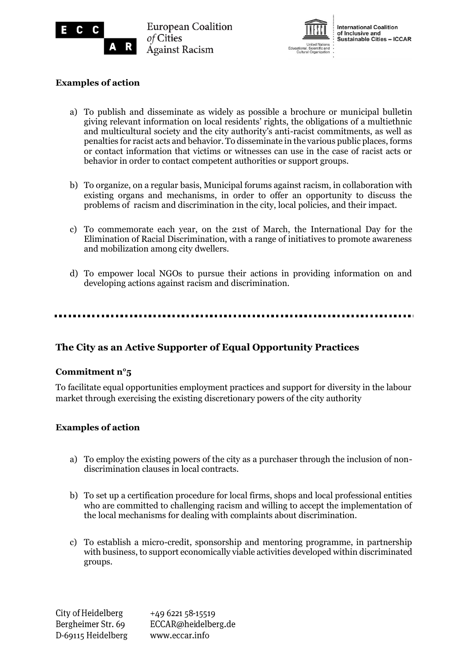



## **Examples of action**

R

- a) To publish and disseminate as widely as possible a brochure or municipal bulletin giving relevant information on local residents' rights, the obligations of a multiethnic and multicultural society and the city authority's anti-racist commitments, as well as penalties for racist acts and behavior. To disseminate in the various public places, forms or contact information that victims or witnesses can use in the case of racist acts or behavior in order to contact competent authorities or support groups.
- b) To organize, on a regular basis, Municipal forums against racism, in collaboration with existing organs and mechanisms, in order to offer an opportunity to discuss the problems of racism and discrimination in the city, local policies, and their impact.
- c) To commemorate each year, on the 21st of March, the International Day for the Elimination of Racial Discrimination, with a range of initiatives to promote awareness and mobilization among city dwellers.
- d) To empower local NGOs to pursue their actions in providing information on and developing actions against racism and discrimination.

## **The City as an Active Supporter of Equal Opportunity Practices**

## **Commitment n°5**

To facilitate equal opportunities employment practices and support for diversity in the labour market through exercising the existing discretionary powers of the city authority

## **Examples of action**

- a) To employ the existing powers of the city as a purchaser through the inclusion of nondiscrimination clauses in local contracts.
- b) To set up a certification procedure for local firms, shops and local professional entities who are committed to challenging racism and willing to accept the implementation of the local mechanisms for dealing with complaints about discrimination.
- c) To establish a micro-credit, sponsorship and mentoring programme, in partnership with business, to support economically viable activities developed within discriminated groups.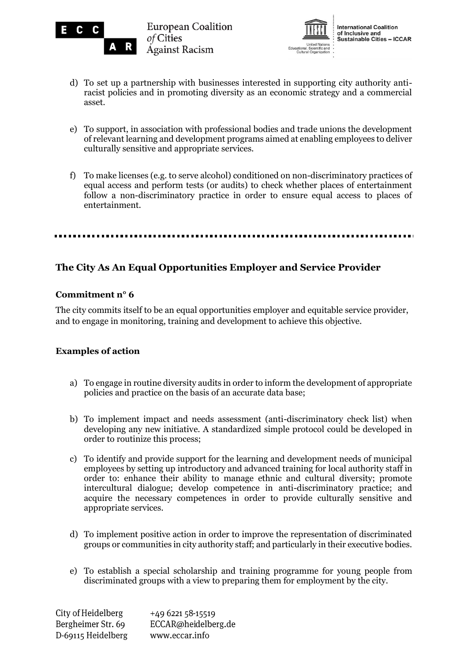

R



- d) To set up a partnership with businesses interested in supporting city authority antiracist policies and in promoting diversity as an economic strategy and a commercial asset.
- e) To support, in association with professional bodies and trade unions the development of relevant learning and development programs aimed at enabling employees to deliver culturally sensitive and appropriate services.
- f) To make licenses (e.g. to serve alcohol) conditioned on non-discriminatory practices of equal access and perform tests (or audits) to check whether places of entertainment follow a non-discriminatory practice in order to ensure equal access to places of entertainment.

## **The City As An Equal Opportunities Employer and Service Provider**

## **Commitment n° 6**

The city commits itself to be an equal opportunities employer and equitable service provider, and to engage in monitoring, training and development to achieve this objective.

## **Examples of action**

- a) To engage in routine diversity audits in order to inform the development of appropriate policies and practice on the basis of an accurate data base;
- b) To implement impact and needs assessment (anti-discriminatory check list) when developing any new initiative. A standardized simple protocol could be developed in order to routinize this process;
- c) To identify and provide support for the learning and development needs of municipal employees by setting up introductory and advanced training for local authority staff in order to: enhance their ability to manage ethnic and cultural diversity; promote intercultural dialogue; develop competence in anti-discriminatory practice; and acquire the necessary competences in order to provide culturally sensitive and appropriate services.
- d) To implement positive action in order to improve the representation of discriminated groups or communities in city authority staff; and particularly in their executive bodies.
- e) To establish a special scholarship and training programme for young people from discriminated groups with a view to preparing them for employment by the city.

City of Heidelberg +49 6221 58-15519 Bergheimer Str. 69 ECCAR@heidelberg.de D-69115 Heidelberg www.eccar.info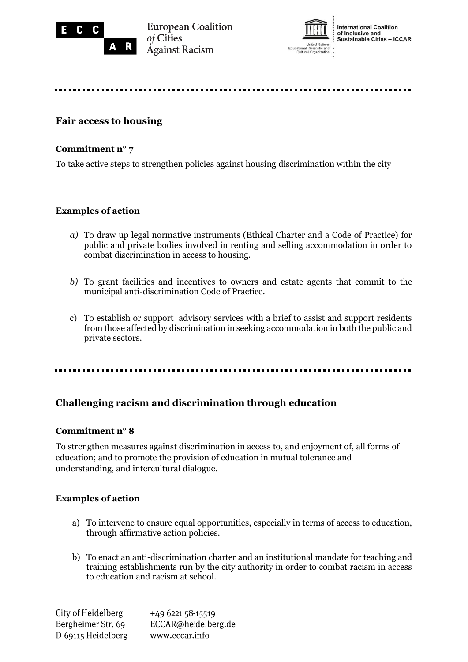

**European Coalition** of Cities **Against Racism** 



**International Coalition** of Inclusive and<br>Sustainable Cities – ICCAR

## **Fair access to housing**

## **Commitment n° 7**

To take active steps to strengthen policies against housing discrimination within the city

## **Examples of action**

- *a)* To draw up legal normative instruments (Ethical Charter and a Code of Practice) for public and private bodies involved in renting and selling accommodation in order to combat discrimination in access to housing.
- *b)* To grant facilities and incentives to owners and estate agents that commit to the municipal anti-discrimination Code of Practice.
- c) To establish or support advisory services with a brief to assist and support residents from those affected by discrimination in seeking accommodation in both the public and private sectors.

.....................

## **Challenging racism and discrimination through education**

## **Commitment n° 8**

To strengthen measures against discrimination in access to, and enjoyment of, all forms of education; and to promote the provision of education in mutual tolerance and understanding, and intercultural dialogue.

## **Examples of action**

- a) To intervene to ensure equal opportunities, especially in terms of access to education, through affirmative action policies.
- b) To enact an anti-discrimination charter and an institutional mandate for teaching and training establishments run by the city authority in order to combat racism in access to education and racism at school.

City of Heidelberg +49 6221 58-15519 Bergheimer Str. 69 ECCAR@heidelberg.de D-69115 Heidelberg www.eccar.info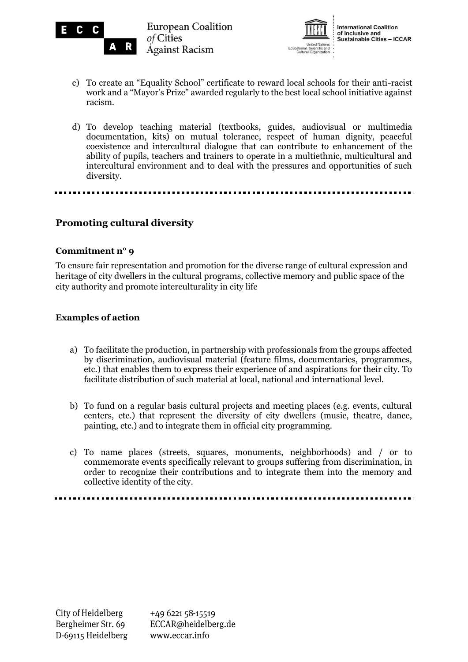

**European Coalition** of Cities **Against Racism** 



**International Coalition** of Inclusive and<br>Sustainable Cities – ICCAR

- c) To create an "Equality School" certificate to reward local schools for their anti-racist work and a "Mayor's Prize" awarded regularly to the best local school initiative against racism.
- d) To develop teaching material (textbooks, guides, audiovisual or multimedia documentation, kits) on mutual tolerance, respect of human dignity, peaceful coexistence and intercultural dialogue that can contribute to enhancement of the ability of pupils, teachers and trainers to operate in a multiethnic, multicultural and intercultural environment and to deal with the pressures and opportunities of such diversity.

## **Promoting cultural diversity**

R

## **Commitment n° 9**

To ensure fair representation and promotion for the diverse range of cultural expression and heritage of city dwellers in the cultural programs, collective memory and public space of the city authority and promote interculturality in city life

## **Examples of action**

- a) To facilitate the production, in partnership with professionals from the groups affected by discrimination, audiovisual material (feature films, documentaries, programmes, etc.) that enables them to express their experience of and aspirations for their city. To facilitate distribution of such material at local, national and international level.
- b) To fund on a regular basis cultural projects and meeting places (e.g. events, cultural centers, etc.) that represent the diversity of city dwellers (music, theatre, dance, painting, etc.) and to integrate them in official city programming.
- c) To name places (streets, squares, monuments, neighborhoods) and / or to commemorate events specifically relevant to groups suffering from discrimination, in order to recognize their contributions and to integrate them into the memory and collective identity of the city.

+49 6221 58-15519 ECCAR@heidelberg.de www.eccar.info